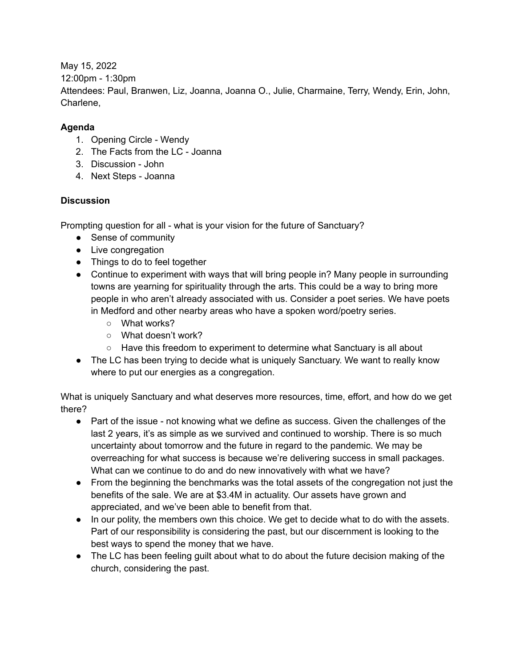May 15, 2022 12:00pm - 1:30pm Attendees: Paul, Branwen, Liz, Joanna, Joanna O., Julie, Charmaine, Terry, Wendy, Erin, John, Charlene,

## **Agenda**

- 1. Opening Circle Wendy
- 2. The Facts from the LC Joanna
- 3. Discussion John
- 4. Next Steps Joanna

## **Discussion**

Prompting question for all - what is your vision for the future of Sanctuary?

- Sense of community
- Live congregation
- Things to do to feel together
- Continue to experiment with ways that will bring people in? Many people in surrounding towns are yearning for spirituality through the arts. This could be a way to bring more people in who aren't already associated with us. Consider a poet series. We have poets in Medford and other nearby areas who have a spoken word/poetry series.
	- What works?
	- What doesn't work?
	- Have this freedom to experiment to determine what Sanctuary is all about
- The LC has been trying to decide what is uniquely Sanctuary. We want to really know where to put our energies as a congregation.

What is uniquely Sanctuary and what deserves more resources, time, effort, and how do we get there?

- Part of the issue not knowing what we define as success. Given the challenges of the last 2 years, it's as simple as we survived and continued to worship. There is so much uncertainty about tomorrow and the future in regard to the pandemic. We may be overreaching for what success is because we're delivering success in small packages. What can we continue to do and do new innovatively with what we have?
- From the beginning the benchmarks was the total assets of the congregation not just the benefits of the sale. We are at \$3.4M in actuality. Our assets have grown and appreciated, and we've been able to benefit from that.
- In our polity, the members own this choice. We get to decide what to do with the assets. Part of our responsibility is considering the past, but our discernment is looking to the best ways to spend the money that we have.
- The LC has been feeling guilt about what to do about the future decision making of the church, considering the past.